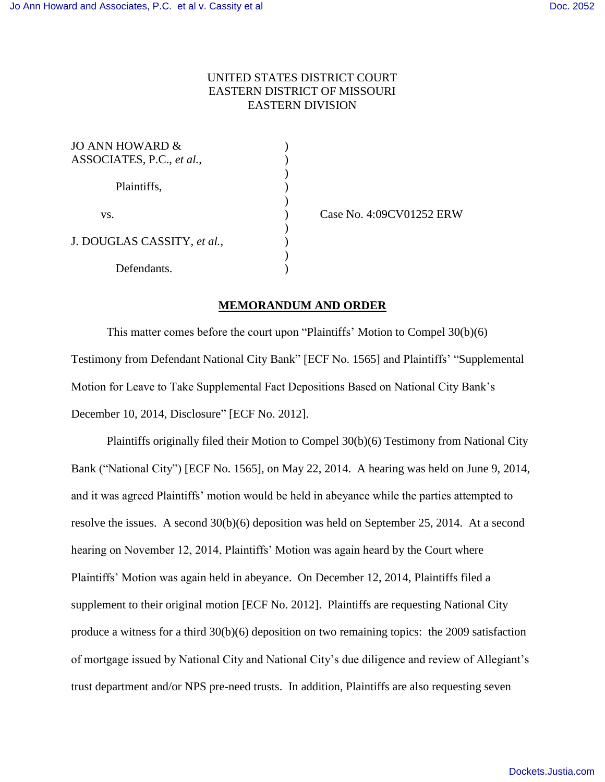## UNITED STATES DISTRICT COURT EASTERN DISTRICT OF MISSOURI EASTERN DIVISION

| JO ANN HOWARD &             |  |
|-----------------------------|--|
| ASSOCIATES, P.C., et al.,   |  |
|                             |  |
| Plaintiffs,                 |  |
|                             |  |
| VS.                         |  |
|                             |  |
| J. DOUGLAS CASSITY, et al., |  |
|                             |  |
| Defendants.                 |  |

) Case No. 4:09CV01252 ERW

## **MEMORANDUM AND ORDER**

This matter comes before the court upon "Plaintiffs' Motion to Compel 30(b)(6) Testimony from Defendant National City Bank" [ECF No. 1565] and Plaintiffs' "Supplemental Motion for Leave to Take Supplemental Fact Depositions Based on National City Bank's December 10, 2014, Disclosure" [ECF No. 2012].

Plaintiffs originally filed their Motion to Compel 30(b)(6) Testimony from National City Bank ("National City") [ECF No. 1565], on May 22, 2014. A hearing was held on June 9, 2014, and it was agreed Plaintiffs' motion would be held in abeyance while the parties attempted to resolve the issues. A second 30(b)(6) deposition was held on September 25, 2014. At a second hearing on November 12, 2014, Plaintiffs' Motion was again heard by the Court where Plaintiffs' Motion was again held in abeyance. On December 12, 2014, Plaintiffs filed a supplement to their original motion [ECF No. 2012]. Plaintiffs are requesting National City produce a witness for a third 30(b)(6) deposition on two remaining topics: the 2009 satisfaction of mortgage issued by National City and National City's due diligence and review of Allegiant's trust department and/or NPS pre-need trusts. In addition, Plaintiffs are also requesting seven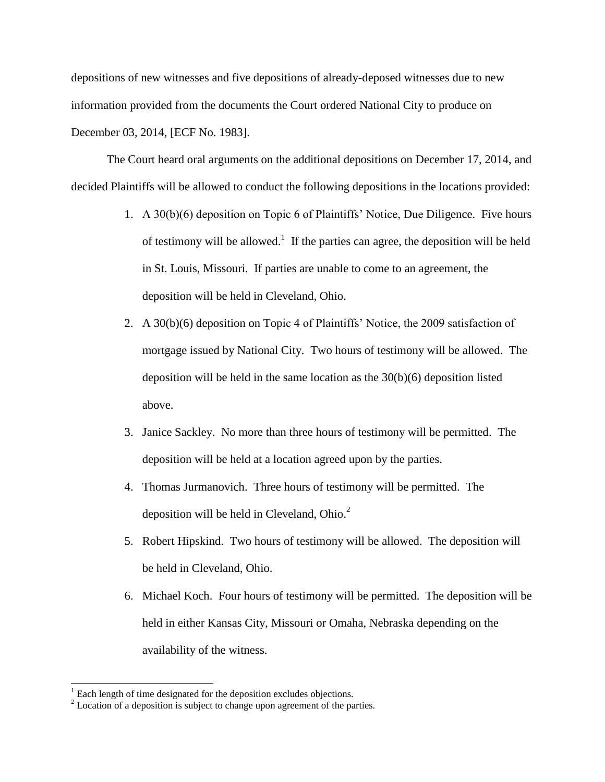depositions of new witnesses and five depositions of already-deposed witnesses due to new information provided from the documents the Court ordered National City to produce on December 03, 2014, [ECF No. 1983].

The Court heard oral arguments on the additional depositions on December 17, 2014, and decided Plaintiffs will be allowed to conduct the following depositions in the locations provided:

- 1. A 30(b)(6) deposition on Topic 6 of Plaintiffs' Notice, Due Diligence. Five hours of testimony will be allowed.<sup>1</sup> If the parties can agree, the deposition will be held in St. Louis, Missouri. If parties are unable to come to an agreement, the deposition will be held in Cleveland, Ohio.
- 2. A 30(b)(6) deposition on Topic 4 of Plaintiffs' Notice, the 2009 satisfaction of mortgage issued by National City. Two hours of testimony will be allowed. The deposition will be held in the same location as the 30(b)(6) deposition listed above.
- 3. Janice Sackley. No more than three hours of testimony will be permitted. The deposition will be held at a location agreed upon by the parties.
- 4. Thomas Jurmanovich. Three hours of testimony will be permitted. The deposition will be held in Cleveland, Ohio. $<sup>2</sup>$ </sup>
- 5. Robert Hipskind. Two hours of testimony will be allowed. The deposition will be held in Cleveland, Ohio.
- 6. Michael Koch. Four hours of testimony will be permitted. The deposition will be held in either Kansas City, Missouri or Omaha, Nebraska depending on the availability of the witness.

 $\overline{a}$ 

 $<sup>1</sup>$  Each length of time designated for the deposition excludes objections.</sup>

 $2$  Location of a deposition is subject to change upon agreement of the parties.